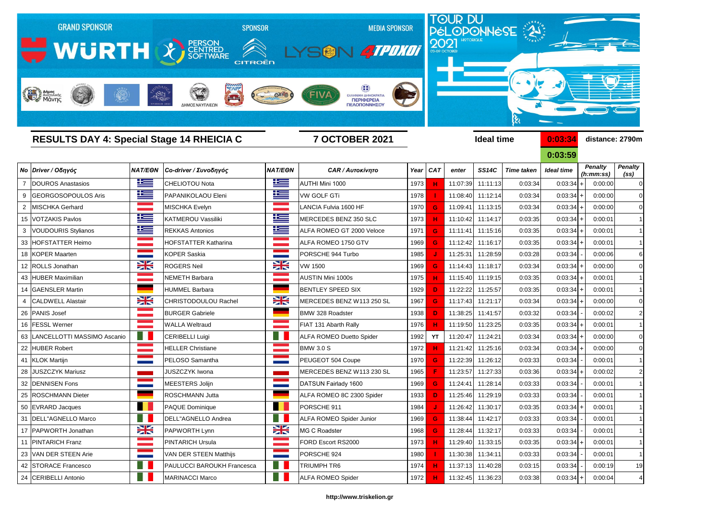

**0:03:59**

|                            | <b>NAT/EON</b>                                                                                                                                                                                                                                                                                                                                                                                                                                                              | Co-driver / Συνοδηγός             | <b>NAT/EON</b>             | <b>CAR / Αυτοκίνητο</b>         | Year                                                                           | <b>CAT</b> | enter                                                                                                                                                                                                        | <b>SS14C</b> | <b>Time taken</b>                                                                                        | <b>Ideal time</b>                                                                                                                                                                                                                                                                                                                    |         |                                                                                                                                                                                                                                                                                                | <b>Penalty</b><br>(s <sub>s</sub> )                                                                                                                                                                                                                                                                                                         |
|----------------------------|-----------------------------------------------------------------------------------------------------------------------------------------------------------------------------------------------------------------------------------------------------------------------------------------------------------------------------------------------------------------------------------------------------------------------------------------------------------------------------|-----------------------------------|----------------------------|---------------------------------|--------------------------------------------------------------------------------|------------|--------------------------------------------------------------------------------------------------------------------------------------------------------------------------------------------------------------|--------------|----------------------------------------------------------------------------------------------------------|--------------------------------------------------------------------------------------------------------------------------------------------------------------------------------------------------------------------------------------------------------------------------------------------------------------------------------------|---------|------------------------------------------------------------------------------------------------------------------------------------------------------------------------------------------------------------------------------------------------------------------------------------------------|---------------------------------------------------------------------------------------------------------------------------------------------------------------------------------------------------------------------------------------------------------------------------------------------------------------------------------------------|
| DOUROS Anastasios          | <u>is – </u>                                                                                                                                                                                                                                                                                                                                                                                                                                                                | <b>CHELIOTOU Nota</b>             | <u> اکتا</u>               | AUTHI Mini 1000                 |                                                                                |            | 11:07:39                                                                                                                                                                                                     |              | 0:03:34                                                                                                  |                                                                                                                                                                                                                                                                                                                                      |         |                                                                                                                                                                                                                                                                                                | $\Omega$                                                                                                                                                                                                                                                                                                                                    |
| <b>GEORGOSOPOULOS Aris</b> | <u>is </u>                                                                                                                                                                                                                                                                                                                                                                                                                                                                  | PAPANIKOLAOU Eleni                | 些                          | <b>VW GOLF GTi</b>              |                                                                                |            |                                                                                                                                                                                                              |              | 0:03:34                                                                                                  |                                                                                                                                                                                                                                                                                                                                      |         |                                                                                                                                                                                                                                                                                                | $\Omega$                                                                                                                                                                                                                                                                                                                                    |
| <b>MISCHKA Gerhard</b>     |                                                                                                                                                                                                                                                                                                                                                                                                                                                                             | MISCHKA Evelyn                    |                            | LANCIA Fulvia 1600 HF           |                                                                                | G          | 11:09:41                                                                                                                                                                                                     |              | 0:03:34                                                                                                  |                                                                                                                                                                                                                                                                                                                                      |         |                                                                                                                                                                                                                                                                                                | $\Omega$                                                                                                                                                                                                                                                                                                                                    |
|                            | 些                                                                                                                                                                                                                                                                                                                                                                                                                                                                           | KATMEROU Vassiliki                | 些                          | MERCEDES BENZ 350 SLC           |                                                                                |            | 11:10:42                                                                                                                                                                                                     |              | 0:03:35                                                                                                  |                                                                                                                                                                                                                                                                                                                                      |         |                                                                                                                                                                                                                                                                                                |                                                                                                                                                                                                                                                                                                                                             |
| <b>VOUDOURIS Stylianos</b> | <u>is </u>                                                                                                                                                                                                                                                                                                                                                                                                                                                                  | <b>REKKAS Antonios</b>            | ٢                          | ALFA ROMEO GT 2000 Veloce       |                                                                                | G          | 11:11:41                                                                                                                                                                                                     |              | 0:03:35                                                                                                  |                                                                                                                                                                                                                                                                                                                                      |         |                                                                                                                                                                                                                                                                                                | $\vert$ 1                                                                                                                                                                                                                                                                                                                                   |
|                            |                                                                                                                                                                                                                                                                                                                                                                                                                                                                             | <b>IHOFSTATTER Katharina</b>      |                            | ALFA ROMEO 1750 GTV             |                                                                                | G          | 11:12:42                                                                                                                                                                                                     |              | 0:03:35                                                                                                  |                                                                                                                                                                                                                                                                                                                                      |         |                                                                                                                                                                                                                                                                                                |                                                                                                                                                                                                                                                                                                                                             |
|                            |                                                                                                                                                                                                                                                                                                                                                                                                                                                                             | KOPER Saskia                      |                            | PORSCHE 944 Turbo               |                                                                                |            | 11:25:31                                                                                                                                                                                                     |              | 0:03:28                                                                                                  |                                                                                                                                                                                                                                                                                                                                      |         |                                                                                                                                                                                                                                                                                                | $6 \mid$                                                                                                                                                                                                                                                                                                                                    |
|                            | X                                                                                                                                                                                                                                                                                                                                                                                                                                                                           | <b>ROGERS Neil</b>                | X                          | <b>VW 1500</b>                  |                                                                                | G.         | 11:14:43                                                                                                                                                                                                     |              | 0:03:34                                                                                                  |                                                                                                                                                                                                                                                                                                                                      |         |                                                                                                                                                                                                                                                                                                | $\Omega$                                                                                                                                                                                                                                                                                                                                    |
|                            |                                                                                                                                                                                                                                                                                                                                                                                                                                                                             | NEMETH Barbara                    |                            | <b>AUSTIN Mini 1000s</b>        |                                                                                |            | 11:15:40                                                                                                                                                                                                     |              | 0:03:35                                                                                                  |                                                                                                                                                                                                                                                                                                                                      |         |                                                                                                                                                                                                                                                                                                | $\vert$ 1                                                                                                                                                                                                                                                                                                                                   |
|                            |                                                                                                                                                                                                                                                                                                                                                                                                                                                                             | HUMMEL Barbara                    |                            | <b>BENTLEY SPEED SIX</b>        |                                                                                |            | 11:22:22                                                                                                                                                                                                     |              | 0:03:35                                                                                                  |                                                                                                                                                                                                                                                                                                                                      |         |                                                                                                                                                                                                                                                                                                | $\overline{1}$                                                                                                                                                                                                                                                                                                                              |
| <b>CALDWELL Alastair</b>   | X                                                                                                                                                                                                                                                                                                                                                                                                                                                                           | <b>CHRISTODOULOU Rachel</b>       | X                          | MERCEDES BENZ W113 250 SL       |                                                                                | G.         |                                                                                                                                                                                                              |              | 0:03:34                                                                                                  |                                                                                                                                                                                                                                                                                                                                      |         |                                                                                                                                                                                                                                                                                                | 0                                                                                                                                                                                                                                                                                                                                           |
|                            |                                                                                                                                                                                                                                                                                                                                                                                                                                                                             | <b>BURGER Gabriele</b>            |                            |                                 |                                                                                | D.         | 11:38:25                                                                                                                                                                                                     |              | 0:03:32                                                                                                  |                                                                                                                                                                                                                                                                                                                                      |         |                                                                                                                                                                                                                                                                                                | $\overline{2}$                                                                                                                                                                                                                                                                                                                              |
|                            |                                                                                                                                                                                                                                                                                                                                                                                                                                                                             | <b>WALLA Weltraud</b>             |                            | FIAT 131 Abarth Rally           |                                                                                |            |                                                                                                                                                                                                              |              | 0:03:35                                                                                                  |                                                                                                                                                                                                                                                                                                                                      |         |                                                                                                                                                                                                                                                                                                | $\vert$ 1                                                                                                                                                                                                                                                                                                                                   |
|                            |                                                                                                                                                                                                                                                                                                                                                                                                                                                                             | <b>CERIBELLI Luigi</b>            |                            | <b>ALFA ROMEO Duetto Spider</b> |                                                                                | YT         | 11:20:47                                                                                                                                                                                                     | 11:24:21     | 0:03:34                                                                                                  |                                                                                                                                                                                                                                                                                                                                      |         |                                                                                                                                                                                                                                                                                                | $\Omega$                                                                                                                                                                                                                                                                                                                                    |
|                            |                                                                                                                                                                                                                                                                                                                                                                                                                                                                             | <b>HELLER Christiane</b>          |                            | <b>BMW 3.0 S</b>                |                                                                                |            |                                                                                                                                                                                                              |              | 0:03:34                                                                                                  |                                                                                                                                                                                                                                                                                                                                      |         |                                                                                                                                                                                                                                                                                                | $\Omega$                                                                                                                                                                                                                                                                                                                                    |
|                            |                                                                                                                                                                                                                                                                                                                                                                                                                                                                             | PELOSO Samantha                   |                            |                                 |                                                                                | G.         | 11:22:39                                                                                                                                                                                                     |              | 0:03:33                                                                                                  |                                                                                                                                                                                                                                                                                                                                      |         |                                                                                                                                                                                                                                                                                                | $\vert$ 1                                                                                                                                                                                                                                                                                                                                   |
| <b>JUSZCZYK Mariusz</b>    |                                                                                                                                                                                                                                                                                                                                                                                                                                                                             | <b>JUSZCZYK Iwona</b>             |                            | MERCEDES BENZ W113 230 SL       |                                                                                |            | 11:23:57                                                                                                                                                                                                     |              | 0:03:36                                                                                                  |                                                                                                                                                                                                                                                                                                                                      |         |                                                                                                                                                                                                                                                                                                | $\overline{2}$                                                                                                                                                                                                                                                                                                                              |
|                            |                                                                                                                                                                                                                                                                                                                                                                                                                                                                             | MEESTERS Jolijn                   |                            |                                 |                                                                                | G          | 11:24:41                                                                                                                                                                                                     |              | 0:03:33                                                                                                  |                                                                                                                                                                                                                                                                                                                                      |         |                                                                                                                                                                                                                                                                                                | $\overline{1}$                                                                                                                                                                                                                                                                                                                              |
|                            |                                                                                                                                                                                                                                                                                                                                                                                                                                                                             | <b>ROSCHMANN Jutta</b>            |                            | ALFA ROMEO 8C 2300 Spider       |                                                                                |            |                                                                                                                                                                                                              |              | 0:03:33                                                                                                  |                                                                                                                                                                                                                                                                                                                                      |         |                                                                                                                                                                                                                                                                                                |                                                                                                                                                                                                                                                                                                                                             |
|                            |                                                                                                                                                                                                                                                                                                                                                                                                                                                                             | PAQUE Dominique                   | n H                        | PORSCHE 911                     |                                                                                |            | 11:26:42                                                                                                                                                                                                     |              | 0:03:35                                                                                                  |                                                                                                                                                                                                                                                                                                                                      |         |                                                                                                                                                                                                                                                                                                | $\vert$ 1                                                                                                                                                                                                                                                                                                                                   |
| DELL"AGNELLO Marco         |                                                                                                                                                                                                                                                                                                                                                                                                                                                                             | DELL"AGNELLO Andrea               |                            | <b>ALFA ROMEO Spider Junior</b> |                                                                                | G          |                                                                                                                                                                                                              | 11:42:17     | 0:03:33                                                                                                  |                                                                                                                                                                                                                                                                                                                                      |         |                                                                                                                                                                                                                                                                                                |                                                                                                                                                                                                                                                                                                                                             |
|                            | $\geq$                                                                                                                                                                                                                                                                                                                                                                                                                                                                      | <b>PAPWORTH Lynn</b>              | $\geq$                     |                                 |                                                                                | G          |                                                                                                                                                                                                              |              |                                                                                                          |                                                                                                                                                                                                                                                                                                                                      |         |                                                                                                                                                                                                                                                                                                | 1                                                                                                                                                                                                                                                                                                                                           |
|                            |                                                                                                                                                                                                                                                                                                                                                                                                                                                                             | <b>PINTARICH Ursula</b>           | a sa Tanzania.<br>Tanzania | FORD Escort RS2000              |                                                                                |            |                                                                                                                                                                                                              |              | 0:03:35                                                                                                  |                                                                                                                                                                                                                                                                                                                                      |         |                                                                                                                                                                                                                                                                                                | 11                                                                                                                                                                                                                                                                                                                                          |
|                            |                                                                                                                                                                                                                                                                                                                                                                                                                                                                             | VAN DER STEEN Matthijs            |                            | PORSCHE 924                     |                                                                                |            |                                                                                                                                                                                                              |              | 0:03:33                                                                                                  |                                                                                                                                                                                                                                                                                                                                      |         |                                                                                                                                                                                                                                                                                                | 1                                                                                                                                                                                                                                                                                                                                           |
|                            |                                                                                                                                                                                                                                                                                                                                                                                                                                                                             | <b>PAULUCCI BAROUKH Francesca</b> | H.                         | <b>TRIUMPH TR6</b>              |                                                                                |            |                                                                                                                                                                                                              |              |                                                                                                          |                                                                                                                                                                                                                                                                                                                                      |         |                                                                                                                                                                                                                                                                                                | 19                                                                                                                                                                                                                                                                                                                                          |
|                            |                                                                                                                                                                                                                                                                                                                                                                                                                                                                             | <b>MARINACCI Marco</b>            | - 8                        | <b>ALFA ROMEO Spider</b>        |                                                                                |            |                                                                                                                                                                                                              |              |                                                                                                          |                                                                                                                                                                                                                                                                                                                                      |         |                                                                                                                                                                                                                                                                                                | $\vert$                                                                                                                                                                                                                                                                                                                                     |
| 9                          | Νο Driver / Οδηγός<br>15 VOTZAKIS Pavlos<br>33 HOFSTATTER Heimo<br>18 KOPER Maarten<br>12 ROLLS Jonathan<br>43 HUBER Maximilian<br>14 GAENSLER Martin<br>26 PANIS Josef<br>16 FESSL Werner<br>63   LANCELLOTTI MASSIMO Ascanio<br>22 HUBER Robert<br>41 KLOK Martijn<br>28<br>32 DENNISEN Fons<br>25   ROSCHMANN Dieter<br>50 EVRARD Jacques<br>31<br>17   PAPWORTH Jonathan<br>11 PINTARICH Franz<br>23 VAN DER STEEN Arie<br>42 STORACE Francesco<br>24 CERIBELLI Antonio |                                   |                            |                                 | BMW 328 Roadster<br>PEUGEOT 504 Coupe<br>DATSUN Fairlady 1600<br>MG C Roadster |            | 1973<br>1978<br>1970<br>1973<br>1971<br>1969<br>1985<br>1969<br>1975<br>1929<br>1967<br>1938<br>1976<br>1992<br>1972<br>1970<br>1965<br>1969<br>1933<br>1984<br>1969<br>1968<br>1973<br>1980<br>1974<br>1972 |              | 11:08:40<br>11:17:43<br>11:19:50<br>11:21:42<br>11:25:46<br>11:38:44<br>11:29:40<br>11:30:38<br>11:37:13 | 11:11:13<br>11:12:14<br>11:13:15<br>11:14:17<br>11:15:16<br>11:16:17<br>11:28:59<br>11:18:17<br>11:19:15<br>11:25:57<br>11:21:17<br>11:41:57<br>11:23:25<br>11:25:16<br>11:26:12<br>11:27:33<br>11:28:14<br>11:29:19<br>11:30:17<br>11:28:44 11:32:17<br>0:03:33<br>11:33:15<br>11:34:11<br>11:40:28<br>0:03:15<br>11:32:45 11:36:23 | 0:03:38 | 0:03:34<br>0:03:34<br>0:03:34<br>0:03:34<br>0:03:34<br>0:03:34<br>0:03:34<br>0:03:34<br>0:03:34<br>0:03:34<br>0:03:34<br>0:03:34<br>0:03:34<br>0:03:34<br>0:03:34<br>0:03:34<br>0:03:34<br>0:03:34<br>0:03:34<br>0:03:34<br>0:03:34<br>0:03:34<br>0:03:34<br>0:03:34<br>0:03:34<br>$0:03:34$ + | <u>U.UJ.JY</u><br><b>Penalty</b><br>(h:mm:ss)<br>0:00:00<br>0:00:00<br>0:00:00<br>0:00:01<br>0:00:01<br>0:00:01<br>0:00:06<br>0:00:00<br>0:00:01<br>0:00:01<br>0:00:00<br>0:00:02<br>0:00:01<br>0:00:00<br>0:00:00<br>0:00:01<br>0:00:02<br>0:00:01<br>0:00:01<br>0:00:01<br>0:00:01<br>0:00:01<br>0:00:01<br>0:00:01<br>0:00:19<br>0:00:04 |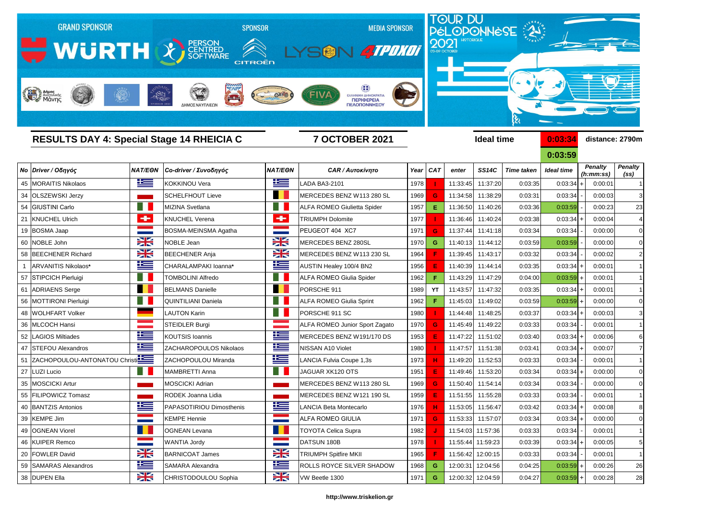

| <b>RESULTS DAY 4: Special Stage 14 RHEICIA C</b> |                                  |                       | <b>7 OCTOBER 2021</b>      |                      |                                       |      |              | <b>Ideal time</b> |                   | 0:03:34           |                   | distance: 2790m             |                                     |
|--------------------------------------------------|----------------------------------|-----------------------|----------------------------|----------------------|---------------------------------------|------|--------------|-------------------|-------------------|-------------------|-------------------|-----------------------------|-------------------------------------|
|                                                  |                                  |                       |                            |                      |                                       |      |              |                   |                   |                   | 0:03:59           |                             |                                     |
|                                                  | Νο Driver / Οδηγός               | <b>NAT/EON</b>        | Co-driver / Συνοδηγός      | <b>NAT/EON</b>       | <b>CAR / Αυτοκίνητο</b>               | Year | <b>CAT</b>   | enter             | <b>SS14C</b>      | <b>Time taken</b> | <b>Ideal time</b> | <b>Penalty</b><br>(h:mm:ss) | <b>Penalty</b><br>(s <sub>s</sub> ) |
|                                                  | 45 MORAITIS Nikolaos             | <u>ik s</u>           | <b>KOKKINOU Vera</b>       | <u>is –</u>          | LADA BA3-2101                         | 1978 |              | 11:33:45          | 11:37:20          | 0:03:35           | 0:03:34           | 0:00:01                     | -1                                  |
|                                                  | 34 OLSZEWSKI Jerzy               |                       | SCHELFHOUT Lieve           | a se                 | MERCEDES BENZ W113 280 SL             | 1969 | G            | 11:34:58          | 11:38:29          | 0:03:31           | 0:03:34           | 0:00:03                     | 3                                   |
|                                                  | 54 GIUSTINI Carlo                | ٠H                    | MIZINA Svetlana            | H                    | <b>ALFA ROMEO Giulietta Spider</b>    | 1957 | Е.           | 11:36:50          | 11:40:26          | 0:03:36           | 0:03:59           | 0:00:23                     | 23                                  |
|                                                  | 21 KNUCHEL Ulrich                | ÷                     | <b>KNUCHEL Verena</b>      | ÷                    | <b>TRIUMPH Dolomite</b>               | 1977 |              | 11:36:46          | 11:40:24          | 0:03:38           | 0:03:34           | 0:00:04                     | 4                                   |
|                                                  | 19 BOSMA Jaap                    |                       | BOSMA-MEINSMA Agatha       |                      | PEUGEOT 404 XC7                       | 1971 | G.           | 11:37:44          | 11:41:18          | 0:03:34           | 0:03:34           | 0:00:00                     | 0                                   |
|                                                  | 60 NOBLE John                    | X                     | <b>NOBLE Jean</b>          | $\frac{1}{\sqrt{2}}$ | MERCEDES BENZ 280SL                   | 1970 | G            | 11:40:13          | 11:44:12          | 0:03:59           | 0:03:59           | 0:00:00                     | 0                                   |
|                                                  | 58 BEECHENER Richard             | X                     | <b>BEECHENER Anja</b>      | X                    | MERCEDES BENZ W113 230 SL             | 1964 |              | 11:39:45          | 11:43:17          | 0:03:32           | 0:03:34           | 0:00:02                     | $\overline{2}$                      |
|                                                  | ARVANITIS Nikolaos*              | <u>ik s</u>           | CHARALAMPAKI Ioanna*       | <u> اگا</u>          | AUSTIN Healey 100/4 BN2               | 1956 |              | 11:40:39          | 11:44:14          | 0:03:35           | 0:03:34           | 0:00:01                     |                                     |
|                                                  | 57 STIPCICH Pierluigi            |                       | <b>TOMBOLINI Alfredo</b>   | ۰ı                   | <b>ALFA ROMEO Giulia Spider</b>       | 1962 |              | 11:43:29          | 11:47:29          | 0:04:00           | 0:03:59           | 0:00:01                     | -1                                  |
|                                                  | 61 ADRIAENS Serge                | n a                   | <b>BELMANS Danielle</b>    | n 1                  | PORSCHE 911                           | 1989 | YT           | 11:43:57          | 11:47:32          | 0:03:35           | 0:03:34           | 0:00:01                     | $\mathbf 1$                         |
|                                                  | 56 MOTTIRONI Pierluigi           |                       | <b>QUINTILIANI Daniela</b> |                      | <b>ALFA ROMEO Giulia Sprint</b>       | 1962 |              | 11:45:03          | 11:49:02          | 0:03:59           | 0:03:59           | 0:00:00                     | 0                                   |
|                                                  | 48 WOLHFART Volker               |                       | <b>LAUTON Karin</b>        | 8 N                  | PORSCHE 911 SC                        | 1980 |              | 11:44:48          | 11:48:25          | 0:03:37           | 0:03:34           | 0:00:03                     | 3                                   |
|                                                  | 36 MLCOCH Hansi                  |                       | <b>STEIDLER Burgi</b>      |                      | <b>ALFA ROMEO Junior Sport Zagato</b> | 1970 | G            | 11:45:49          | 11:49:22          | 0:03:33           | 0:03:34           | 0:00:01                     | -1                                  |
| 52                                               | <b>LAGIOS Miltiades</b>          | 些                     | <b>KOUTSIS Ioannis</b>     | 些                    | MERCEDES BENZ W191/170 DS             | 1953 |              | 11:47:22          | 11:51:02          | 0:03:40           | 0:03:34           | 0:00:06                     | 6                                   |
|                                                  | 47 STEFOU Alexandros             | <u>ik –</u>           | ZACHAROPOULOS Nikolaos     | 华                    | <b>NISSAN A10 Violet</b>              | 1980 |              | 11:47:57          | 11:51:38          | 0:03:41           | 0:03:34           | 0:00:07                     | $\overline{7}$                      |
|                                                  | 51 ZACHOPOULOU-ANTONATOU Christi |                       | ZACHOPOULOU Miranda        | <u>is –</u>          | LANCIA Fulvia Coupe 1,3s              | 1973 |              | 11:49:20          | 11:52:53          | 0:03:33           | 0:03:34           | 0:00:01                     | -1                                  |
|                                                  | 27 LUZI Lucio                    |                       | <b>MAMBRETTI Anna</b>      | ۰ı                   | JAGUAR XK120 OTS                      | 1951 |              | 11:49:46          | 11:53:20          | 0:03:34           | 0:03:34           | 0:00:00                     | $\boldsymbol{0}$                    |
|                                                  | 35 MOSCICKI Artur                |                       | <b>MOSCICKI Adrian</b>     |                      | MERCEDES BENZ W113 280 SL             | 1969 | G.           | 11:50:40          | 11:54:14          | 0:03:34           | 0:03:34           | 0:00:00                     | 0                                   |
|                                                  | 55 FILIPOWICZ Tomasz             |                       | RODEK Joanna Lidia         |                      | MERCEDES BENZ W121 190 SL             | 1959 |              | 11:51:55          | 11:55:28          | 0:03:33           | 0:03:34           | 0:00:01                     |                                     |
|                                                  | 40 BANTZIS Antonios              | Ñ<br><u>expertise</u> | PAPASOTIRIOU Dimosthenis   | Ñ                    | LANCIA Beta Montecarlo                | 1976 | п.           |                   | 11:53:05 11:56:47 | 0:03:42           | $0:03:34$ +       | 0:00:08                     | ୪                                   |
|                                                  | 39 KEMPE Jim                     | <b>Contract</b>       | <b>KEMPE Hennie</b>        |                      | <b>ALFA ROMEO GIULIA</b>              | 1971 | $\mathbf{G}$ |                   | 11:53:33 11:57:07 | 0:03:34           | 0:03:34           | 0:00:00                     | $\boldsymbol{0}$                    |
|                                                  | 49 OGNEAN Viorel                 |                       | <b>OGNEAN Levana</b>       |                      | <b>TOYOTA Celica Supra</b>            | 1982 |              |                   | 11:54:03 11:57:36 | 0:03:33           | 0:03:34           | 0:00:01                     | $\mathbf{1}$                        |
|                                                  | 46 KUIPER Remco                  | <b>STATISTICS</b>     | <b>WANTIA Jordy</b>        |                      | DATSUN 180B                           | 1978 |              |                   | 11:55:44 11:59:23 | 0:03:39           | 0:03:34           | 0:00:05                     | 5                                   |
|                                                  | 20 FOWLER David                  | <del>≽k</del>         | <b>BARNICOAT James</b>     | ₩                    | <b>TRIUMPH Spitfire MKII</b>          | 1965 |              |                   | 11:56:42 12:00:15 | 0:03:33           | 0:03:34           | 0:00:01                     | $\overline{1}$                      |
|                                                  | 59 SAMARAS Alexandros            | 些                     | SAMARA Alexandra           | 些                    | ROLLS ROYCE SILVER SHADOW             | 1968 | G            |                   | 12:00:31 12:04:56 | 0:04:25           | 0:03:59           | 0:00:26                     | 26                                  |
|                                                  | 38 DUPEN Ella                    | X                     | CHRISTODOULOU Sophia       | X                    | VW Beetle 1300                        | 1971 | G            |                   | 12:00:32 12:04:59 | 0:04:27           | 0:03:59           | 0:00:28                     | 28                                  |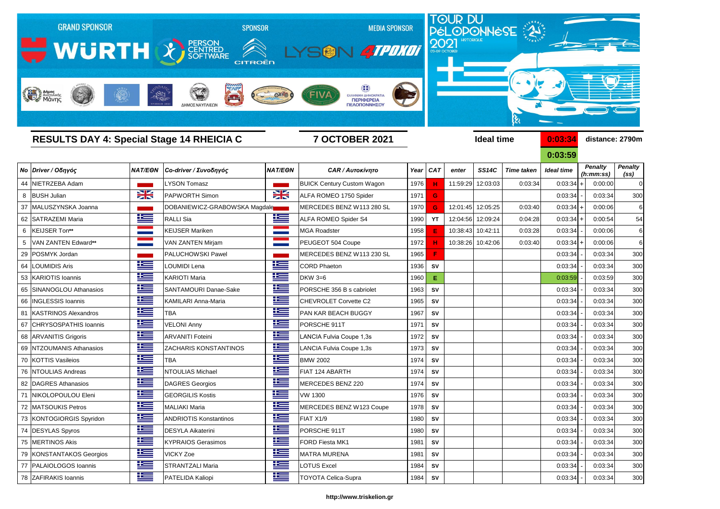

**0:03:59**

|                |                          |                      |                               |                |                                   |      |            |          |              |                   | UIUJIJY           |                             |                                     |  |  |
|----------------|--------------------------|----------------------|-------------------------------|----------------|-----------------------------------|------|------------|----------|--------------|-------------------|-------------------|-----------------------------|-------------------------------------|--|--|
|                | No Driver / Οδηγός       | <b>NAT/EON</b>       | Co-driver / Συνοδηγός         | <b>NAT/EON</b> | <b>CAR / Αυτοκίνητο</b>           | Year | <b>CAT</b> | enter    | <b>SS14C</b> | <b>Time taken</b> | <b>Ideal time</b> | <b>Penalty</b><br>(h:mm:ss) | <b>Penalty</b><br>(s <sub>s</sub> ) |  |  |
| 44             | NIETRZEBA Adam           |                      | <b>LYSON Tomasz</b>           |                | <b>BUICK Century Custom Wagon</b> | 1976 |            | 11:59:29 | 12:03:03     | 0:03:34           | 0:03:34           | 0:00:00                     | 0                                   |  |  |
|                | 8 BUSH Julian            | NZ<br>$\blacksquare$ | <b>PAPWORTH Simon</b>         | X              | ALFA ROMEO 1750 Spider            | 1971 | G          |          |              |                   | 0:03:34           | 0:03:34                     | 300                                 |  |  |
|                | 37 MALUSZYNSKA Joanna    |                      | DOBANIEWICZ-GRABOWSKA Magdale |                | MERCEDES BENZ W113 280 SL         | 1970 | G.         | 12:01:45 | 12:05:25     | 0:03:40           | 0:03:34           | 0:00:06                     | 6                                   |  |  |
|                | 62 SATRAZEMI Maria       | <u>is a</u>          | <b>RALLI Sia</b>              | <u>is –</u>    | <b>ALFA ROMEO Spider S4</b>       | 1990 | YT         | 12:04:56 | 12:09:24     | 0:04:28           | 0:03:34           | 0:00:54                     | 54                                  |  |  |
|                | 6   KEIJSER Ton**        |                      | <b>KEIJSER Mariken</b>        |                | <b>MGA Roadster</b>               | 1958 |            | 10:38:43 | 10:42:11     | 0:03:28           | 0:03:34           | 0:00:06                     | 6                                   |  |  |
| 5 <sup>5</sup> | VAN ZANTEN Edward**      |                      | <b>VAN ZANTEN Mirjam</b>      |                | PEUGEOT 504 Coupe                 | 1972 |            | 10:38:26 | 10:42:06     | 0:03:40           | 0:03:34           | 0:00:06                     | 6                                   |  |  |
|                | 29 POSMYK Jordan         |                      | <b>PALUCHOWSKI Pawel</b>      |                | MERCEDES BENZ W113 230 SL         | 1965 | Е          |          |              |                   | 0:03:34           | 0:03:34                     | 300                                 |  |  |
| 64             | <b>LOUMIDIS Aris</b>     | <u>is a</u>          | <b>LOUMIDI Lena</b>           | <u>is –</u>    | <b>CORD Phaeton</b>               | 1936 | <b>SV</b>  |          |              |                   | 0:03:34           | 0:03:34                     | 300                                 |  |  |
|                | 53 KARIOTIS Ioannis      | 些                    | <b>KARIOTI Maria</b>          | <u> اکت</u>    | <b>DKW 3=6</b>                    | 1960 | Ε.         |          |              |                   | 0:03:59           | 0:03:59                     | 300                                 |  |  |
|                | 65 SINANOGLOU Athanasios | 些                    | SANTAMOURI Danae-Sake         | <u>ka </u>     | PORSCHE 356 B s cabriolet         | 1963 | <b>SV</b>  |          |              |                   | 0:03:34           | 0:03:34                     | 300                                 |  |  |
|                | 66   INGLESSIS Ioannis   | <u>is a</u>          | <b>KAMILARI Anna-Maria</b>    | ١æ             | <b>CHEVROLET Corvette C2</b>      | 1965 | <b>SV</b>  |          |              |                   | 0:03:34           | 0:03:34                     | 300                                 |  |  |
|                | 81 KASTRINOS Alexandros  | <u> 12 m</u>         | <b>TBA</b>                    | 些              | PAN KAR BEACH BUGGY               | 1967 | <b>SV</b>  |          |              |                   | 0:03:34           | 0:03:34                     | 300                                 |  |  |
|                | 67 CHRYSOSPATHIS Ioannis | <u>ik se</u>         | <b>VELONI Anny</b>            | <u>ik s</u>    | PORSCHE 911T                      | 1971 | <b>SV</b>  |          |              |                   | 0:03:34           | 0:03:34                     | 300                                 |  |  |
|                | 68 ARVANITIS Grigoris    | 些                    | <b>ARVANITI Foteini</b>       | <u>is –</u>    | LANCIA Fulvia Coupe 1,3s          | 1972 | <b>SV</b>  |          |              |                   | 0:03:34           | 0:03:34                     | 300                                 |  |  |
|                | 69 NTZOUMANIS Athanasios | <u>ik se</u>         | <b>ZACHARIS KONSTANTINOS</b>  | ١ŧ             | LANCIA Fulvia Coupe 1,3s          | 1973 | <b>SV</b>  |          |              |                   | 0:03:34           | 0:03:34                     | 300                                 |  |  |
|                | 70 KOTTIS Vasileios      | <u>ik se</u>         | <b>TBA</b>                    | 些              | <b>BMW 2002</b>                   | 1974 | <b>SV</b>  |          |              |                   | 0:03:34           | 0:03:34                     | 300                                 |  |  |
|                | 76 NTOULIAS Andreas      | <u>is – </u>         | <b>NTOULIAS Michael</b>       | 些              | FIAT 124 ABARTH                   | 1974 | <b>SV</b>  |          |              |                   | 0:03:34           | 0:03:34                     | 300                                 |  |  |
|                | 82 DAGRES Athanasios     | 华                    | DAGRES Georgios               | 些              | MERCEDES BENZ 220                 | 1974 | <b>SV</b>  |          |              |                   | 0:03:34           | 0:03:34                     | 300                                 |  |  |
|                | 71 NIKOLOPOULOU Eleni    | 上手                   | <b>GEORGILIS Kostis</b>       | <u>is a</u>    | <b>VW 1300</b>                    | 1976 | <b>SV</b>  |          |              |                   | 0:03:34           | 0:03:34                     | 300                                 |  |  |
|                | 72 MATSOUKIS Petros      | <u>is </u>           | <b>MALIAKI Maria</b>          | <u> اکتر</u>   | MERCEDES BENZ W123 Coupe          | 1978 | <b>SV</b>  |          |              |                   | 0:03:34           | 0:03:34                     | 300                                 |  |  |
|                | 73 KONTOGIORGIS Spyridon | <u>ik –</u>          | <b>ANDRIOTIS Konstantinos</b> | <u>ik s</u>    | FIAT X1/9                         | 1980 | <b>SV</b>  |          |              |                   | 0:03:34           | 0:03:34                     | 300                                 |  |  |
|                | 74 DESYLAS Spyros        | <u>ik a</u>          | <b>DESYLA Aikaterini</b>      | <u>ik a</u>    | PORSCHE 911T                      | 1980 | <b>SV</b>  |          |              |                   | 0:03:34           | 0:03:34                     | 300                                 |  |  |
|                | 75 MERTINOS Akis         | <u>ik –</u>          | <b>KYPRAIOS Gerasimos</b>     | ĥ              | FORD Fiesta MK1                   | 1981 | <b>SV</b>  |          |              |                   | 0:03:34           | 0:03:34                     | 300                                 |  |  |
|                | 79 KONSTANTAKOS Georgios | <u>iks </u>          | <b>VICKY Zoe</b>              | ٢              | <b>MATRA MURENA</b>               | 1981 | SV         |          |              |                   | 0:03:34           | 0:03:34                     | 300                                 |  |  |
|                | 77 PALAIOLOGOS Ioannis   | $\pm$                | <b>STRANTZALI Maria</b>       | 华              | <b>LOTUS Excel</b>                | 1984 | <b>SV</b>  |          |              |                   | 0:03:34           | 0:03:34                     | 300                                 |  |  |
|                | 78 ZAFIRAKIS Ioannis     | 华兰                   | PATELIDA Kaliopi              | <u>ik s</u>    | TOYOTA Celica-Supra               | 1984 | <b>SV</b>  |          |              |                   | 0:03:34           | 0:03:34                     | 300                                 |  |  |